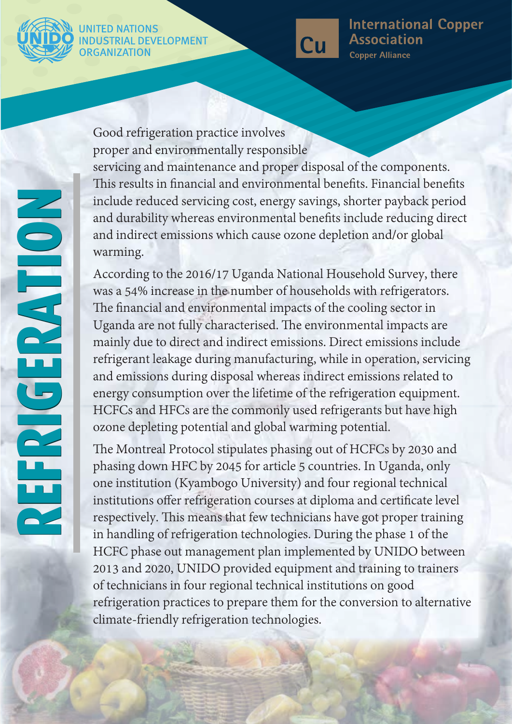

### **RIAL DEVELOPMENT** ORGANIZATION



#### **International Copper Association Copper Alliance**

NOILY BORSEN **REFRIGERATION REFRIGERATION**

Good refrigeration practice involves proper and environmentally responsible servicing and maintenance and proper disposal of the components. This results in financial and environmental benefits. Financial benefits include reduced servicing cost, energy savings, shorter payback period and durability whereas environmental benefits include reducing direct and indirect emissions which cause ozone depletion and/or global warming.

According to the 2016/17 Uganda National Household Survey, there was a 54% increase in the number of households with refrigerators. The financial and environmental impacts of the cooling sector in Uganda are not fully characterised. The environmental impacts are mainly due to direct and indirect emissions. Direct emissions include refrigerant leakage during manufacturing, while in operation, servicing and emissions during disposal whereas indirect emissions related to energy consumption over the lifetime of the refrigeration equipment. HCFCs and HFCs are the commonly used refrigerants but have high ozone depleting potential and global warming potential.

The Montreal Protocol stipulates phasing out of HCFCs by 2030 and phasing down HFC by 2045 for article 5 countries. In Uganda, only one institution (Kyambogo University) and four regional technical institutions offer refrigeration courses at diploma and certificate level respectively. This means that few technicians have got proper training in handling of refrigeration technologies. During the phase 1 of the HCFC phase out management plan implemented by UNIDO between 2013 and 2020, UNIDO provided equipment and training to trainers of technicians in four regional technical institutions on good refrigeration practices to prepare them for the conversion to alternative climate-friendly refrigeration technologies.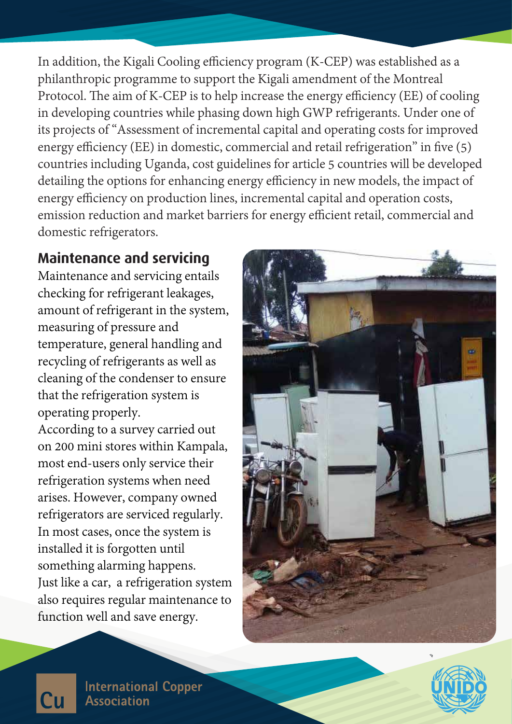In addition, the Kigali Cooling efficiency program (K-CEP) was established as a philanthropic programme to support the Kigali amendment of the Montreal Protocol. The aim of K-CEP is to help increase the energy efficiency (EE) of cooling in developing countries while phasing down high GWP refrigerants. Under one of its projects of "Assessment of incremental capital and operating costs for improved energy efficiency (EE) in domestic, commercial and retail refrigeration" in five  $(5)$ countries including Uganda, cost guidelines for article 5 countries will be developed detailing the options for enhancing energy efficiency in new models, the impact of energy efficiency on production lines, incremental capital and operation costs, emission reduction and market barriers for energy efficient retail, commercial and domestic refrigerators.

# **Maintenance and servicing**

Maintenance and servicing entails checking for refrigerant leakages, amount of refrigerant in the system, measuring of pressure and temperature, general handling and recycling of refrigerants as well as cleaning of the condenser to ensure that the refrigeration system is operating properly.

According to a survey carried out on 200 mini stores within Kampala, most end-users only service their refrigeration systems when need arises. However, company owned refrigerators are serviced regularly. In most cases, once the system is installed it is forgotten until something alarming happens. Just like a car, a refrigeration system also requires regular maintenance to function well and save energy.





**International Copper Association**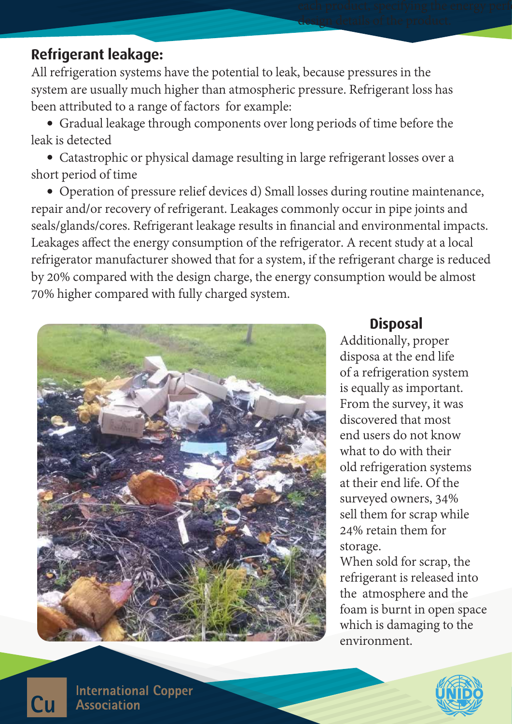# **Refrigerant leakage:**

All refrigeration systems have the potential to leak, because pressures in the system are usually much higher than atmospheric pressure. Refrigerant loss has been attributed to a range of factors for example:

 Gradual leakage through components over long periods of time before the leak is detected

 Catastrophic or physical damage resulting in large refrigerant losses over a short period of time

 Operation of pressure relief devices d) Small losses during routine maintenance, repair and/or recovery of refrigerant. Leakages commonly occur in pipe joints and seals/glands/cores. Refrigerant leakage results in financial and environmental impacts. Leakages affect the energy consumption of the refrigerator. A recent study at a local refrigerator manufacturer showed that for a system, if the refrigerant charge is reduced by 20% compared with the design charge, the energy consumption would be almost 70% higher compared with fully charged system.



# **Disposal**

design details of the product.

Additionally, proper disposa at the end life of a refrigeration system is equally as important. From the survey, it was discovered that most end users do not know what to do with their old refrigeration systems at their end life. Of the surveyed owners, 34% sell them for scrap while 24% retain them for storage.

When sold for scrap, the refrigerant is released into the atmosphere and the foam is burnt in open space which is damaging to the environment.



**International Copper Association** 

Cп